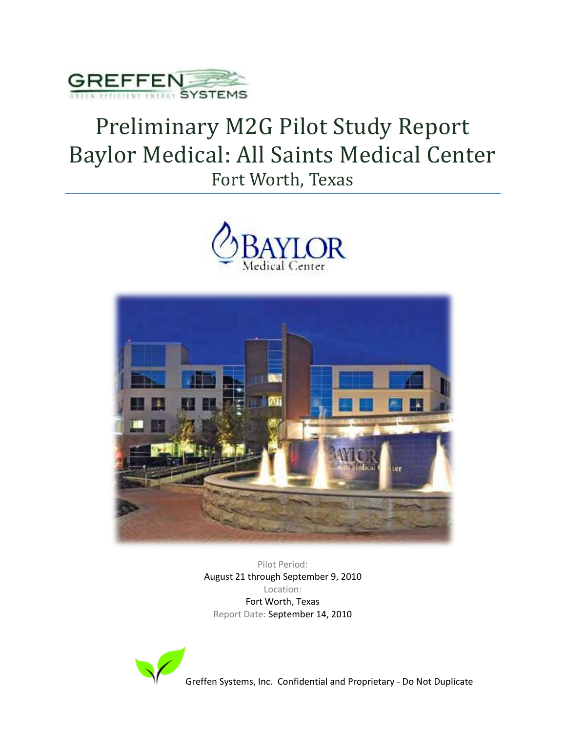

# Preliminary M2G Pilot Study Report Baylor Medical: All Saints Medical Center Fort Worth, Texas





Pilot Period: August 21 through September 9, 2010 Location: Fort Worth, Texas Report Date: September 14, 2010

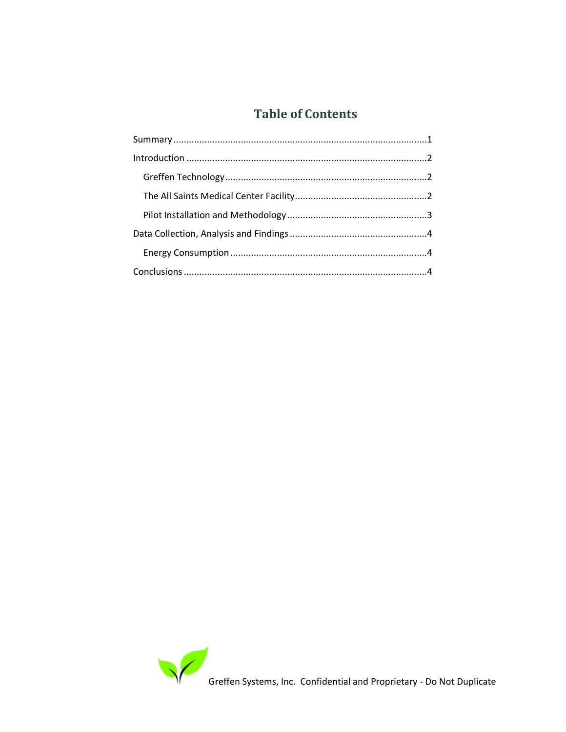## **Table of Contents**

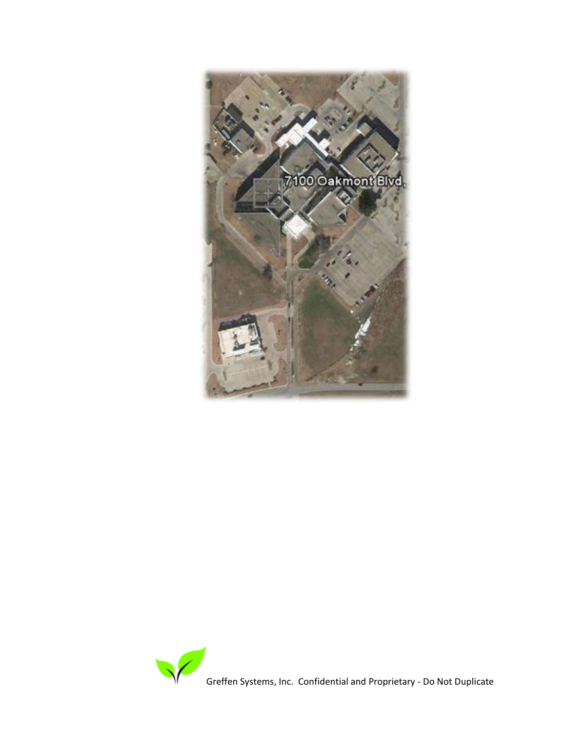

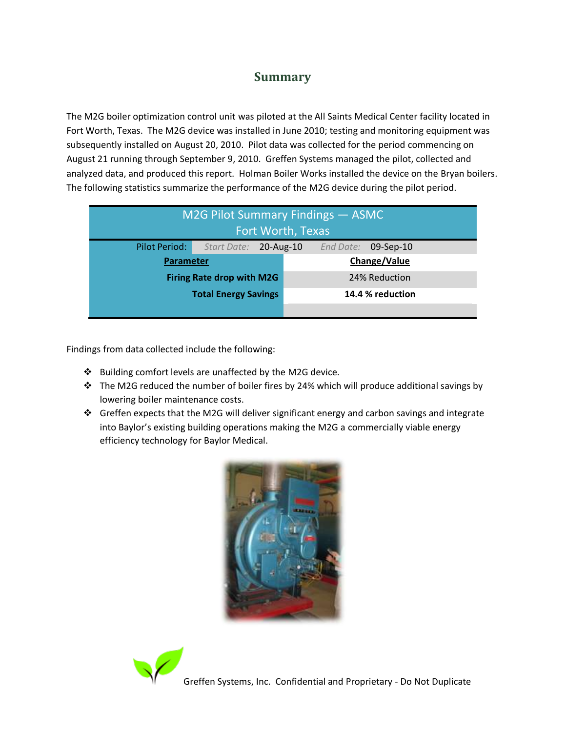#### **Summary**

<span id="page-3-0"></span>The M2G boiler optimization control unit was piloted at the All Saints Medical Center facility located in Fort Worth, Texas. The M2G device was installed in June 2010; testing and monitoring equipment was subsequently installed on August 20, 2010. Pilot data was collected for the period commencing on August 21 running through September 9, 2010. Greffen Systems managed the pilot, collected and analyzed data, and produced this report. Holman Boiler Works installed the device on the Bryan boilers. The following statistics summarize the performance of the M2G device during the pilot period.

| M2G Pilot Summary Findings - ASMC<br>Fort Worth, Texas |                                     |                     |  |  |
|--------------------------------------------------------|-------------------------------------|---------------------|--|--|
|                                                        | Pilot Period: Start Date: 20-Aug-10 | End Date: 09-Sep-10 |  |  |
| Parameter                                              |                                     | Change/Value        |  |  |
| <b>Firing Rate drop with M2G</b>                       |                                     | 24% Reduction       |  |  |
|                                                        | <b>Total Energy Savings</b>         | 14.4 % reduction    |  |  |
|                                                        |                                     |                     |  |  |

Findings from data collected include the following:

- Building comfort levels are unaffected by the M2G device.
- \* The M2G reduced the number of boiler fires by 24% which will produce additional savings by lowering boiler maintenance costs.
- Greffen expects that the M2G will deliver significant energy and carbon savings and integrate into Baylor's existing building operations making the M2G a commercially viable energy efficiency technology for Baylor Medical.



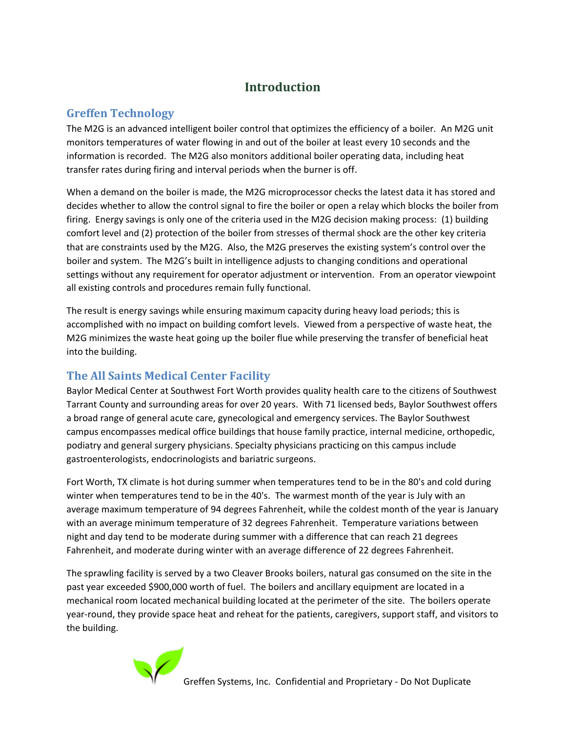### **Introduction**

#### <span id="page-4-1"></span><span id="page-4-0"></span>**Greffen Technology**

The M2G is an advanced intelligent boiler control that optimizes the efficiency of a boiler. An M2G unit monitors temperatures of water flowing in and out of the boiler at least every 10 seconds and the information is recorded. The M2G also monitors additional boiler operating data, including heat transfer rates during firing and interval periods when the burner is off.

When a demand on the boiler is made, the M2G microprocessor checks the latest data it has stored and decides whether to allow the control signal to fire the boiler or open a relay which blocks the boiler from firing. Energy savings is only one of the criteria used in the M2G decision making process: (1) building comfort level and (2) protection of the boiler from stresses of thermal shock are the other key criteria that are constraints used by the M2G. Also, the M2G preserves the existing system's control over the boiler and system. The M2G's built in intelligence adjusts to changing conditions and operational settings without any requirement for operator adjustment or intervention. From an operator viewpoint all existing controls and procedures remain fully functional.

The result is energy savings while ensuring maximum capacity during heavy load periods; this is accomplished with no impact on building comfort levels. Viewed from a perspective of waste heat, the M2G minimizes the waste heat going up the boiler flue while preserving the transfer of beneficial heat into the building.

#### <span id="page-4-2"></span>**The All Saints Medical Center Facility**

Baylor Medical Center at Southwest Fort Worth provides quality health care to the citizens of Southwest Tarrant County and surrounding areas for over 20 years. With 71 licensed beds, Baylor Southwest offers a broad range of general acute care, gynecological and emergency services. The Baylor Southwest campus encompasses medical office buildings that house family practice, internal medicine, orthopedic, podiatry and general surgery physicians. Specialty physicians practicing on this campus include gastroenterologists, endocrinologists and bariatric surgeons.

Fort Worth, TX climate is hot during summer when temperatures tend to be in the 80's and cold during winter when temperatures tend to be in the 40's. The warmest month of the year is July with an average maximum temperature of 94 degrees Fahrenheit, while the coldest month of the year is January with an average minimum temperature of 32 degrees Fahrenheit. Temperature variations between night and day tend to be moderate during summer with a difference that can reach 21 degrees Fahrenheit, and moderate during winter with an average difference of 22 degrees Fahrenheit.

The sprawling facility is served by a two Cleaver Brooks boilers, natural gas consumed on the site in the past year exceeded \$900,000 worth of fuel. The boilers and ancillary equipment are located in a mechanical room located mechanical building located at the perimeter of the site. The boilers operate year-round, they provide space heat and reheat for the patients, caregivers, support staff, and visitors to the building.

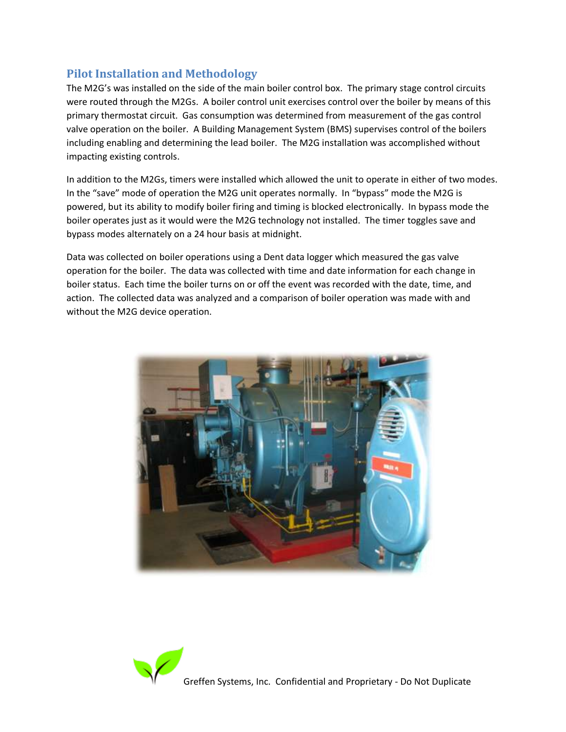#### <span id="page-5-0"></span>**Pilot Installation and Methodology**

The M2G's was installed on the side of the main boiler control box. The primary stage control circuits were routed through the M2Gs. A boiler control unit exercises control over the boiler by means of this primary thermostat circuit. Gas consumption was determined from measurement of the gas control valve operation on the boiler. A Building Management System (BMS) supervises control of the boilers including enabling and determining the lead boiler. The M2G installation was accomplished without impacting existing controls.

In addition to the M2Gs, timers were installed which allowed the unit to operate in either of two modes. In the "save" mode of operation the M2G unit operates normally. In "bypass" mode the M2G is powered, but its ability to modify boiler firing and timing is blocked electronically. In bypass mode the boiler operates just as it would were the M2G technology not installed. The timer toggles save and bypass modes alternately on a 24 hour basis at midnight.

Data was collected on boiler operations using a Dent data logger which measured the gas valve operation for the boiler. The data was collected with time and date information for each change in boiler status. Each time the boiler turns on or off the event was recorded with the date, time, and action. The collected data was analyzed and a comparison of boiler operation was made with and without the M2G device operation.